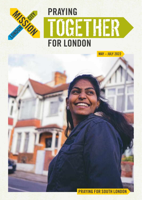

PRAYING FOR SOUTH LONDON

MAY – JULY 2022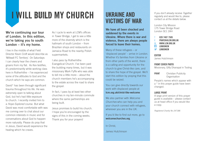# **I WILL BUILD MY CHURCH UKRAINE AND** If you don't already receive *Together*

We're continuing our tour of London. In this edition, we're taking you to south London – it's my home.

I live in the middle of what Field Director Kevin Croft would describe as 'Millwall FC Territory'. On Saturdays I can clearly hear the cheers and groans from my flat. As Kev testifies, it's predominantly white working class here in Rotherhithe – I've experienced some of the attitudes to God and the church which he says are common.

David\* has been through significant trauma throughout his life. He was extremely open to talking about God, but he's had little exposure to church. I recently invited him to a *Hope Explored* course. But what David was most comfortable with was me coming over to chat about our common interests in music and for conversations about God to happen more naturally. Please do pray that in Jesus, David would experience the healing which he craves.

As I cycle to work at LCM's offices in Tower Bridge, I get to see a little more of the diversity which is the hallmark of south London – from Brazilian shops and restaurants on Jamaica Road to the nearby Polish supermarkets.

I also pass by Rotherhithe Evangelical Church. I've been past the building many times, but it was missionary Mark Fyffe who was able to tell me a little more – about the church members he's accompanying to the estate across the road to share the gospel.

In fact, I pass by at least two other churches in my ten-minute commute where the same partnerships are being built.

Jesus promises to build his church. I hope you're encouraged by the signs of this in the coming weeks. Thank you for your prayers!

# UKRAINE AND VICTIMS OF WAR

We have all been shocked and saddened by the events in Ukraine. Where there is war and violence, there are always people forced to leave their homes.

Many of these refugees – or 'displaced people' – arrive in London. Whether it's families from Ukraine or from other parts of the world, there is a calling and opportunity for the church to give Christ-like care, and to share the hope of the gospel. We'll start this edition by praying that this could be seized.

You can give directly towards our work with displaced people at <lcm.org.uk/christ-like-welcome>

We also partner with *Welcome Churches* who can help you and your church connect with refugees, wherever you are in the UK.

If you'd like to find out more, go to <welcomechurches.org>.

In Christ,

James Hutchinson

regularly and would like to, please contact us at the details below.

London City Mission 175 Tower Bridge Road London SE1 2AH

T 020 7407 7585 E PRAYER@LCM.ORG.UK W [WWW.LCM.ORG.UK](http://www.lcm.org.uk) LONDONCM **M** LONDONCM

EDITOR James Hutchinson

#### FRONT COVER PHOTO

Missionary, Gifty Dhanapal in Tooting

**PRINT** Christian Publicity **Organisation** 

People's names which appear with a \* in this prayer guide have been changed.

#### LARGE PRINT

A large print version of this prayer guide is available – please contact us at head office if you would like a copy.

*Registered Charity No 247186*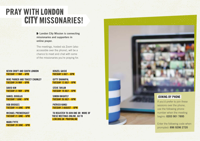# PRAY WITH LONDON CITY MISSONARIES!

**London City Mission is connecting** missionaries and supporters in online prayer.

The meetings, hosted via Zoom (also accessible over the phone), will be a chance to meet and chat with some of the missionaries you're praying for.

#### KEVIN CROFT AND SOUTH LONDON TUESDAY 17 MAY – 6PM

 MIKE PARKER AND TRACEY CHUMLEY TUESDAY 24 MAY – 6PM

 DAVID KIM TUESDAY 31 MAY – 6PM

 DANIEL DOUGLAS TUESDAY 7 JUNE – 6PM

 ROB BRIDGES TUESDAY 14 JUNE – 6PM

 MICHAEL PRENDERGAST TUESDAY 21 JUNE – 6PM

 MARK FYFFE TUESDAY 28 JUNE – 6PM

#### DENZEL GAISIE TUESDAY 5 JULY – 6PM

 GIFTY DHANAPAL TUESDAY 12 JULY – 6PM

STEVE TAYLOR TUESDAY 19 JULY – 6PM

 SIMON KNIGHTLY TUESDAY 26 JULY – 6PM

 PATRICK KANGI TUESDAY 2 AUGUST – 6PM

 TO REGISTER TO JOIN ONE OR MORE OF THESE MEETINGS ONLINE, GO TO LCM.ORG.UK PRAYONLINE



### JOINING BY PHONE

If you'd prefer to join these sessions over the phone, use the following phone number when the meeting begins: **0203 901 7895**

Enter the following code when prompted: **896 9296 2720**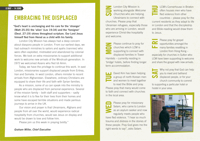### EMBRACING THE DISPLACED

"God's heart is unchanging and his care for the 'stranger' (Matt 25:35) the 'alien' (Lev 19:34) and the 'foreigner' (Deut. 27:19) shines throughout scripture. Our Lord Jesus himself fled from Herod as a child with his family.

London City Mission has always had a deep concern about diaspora people in London. From our earliest days, we had outreach ministries to sailors and ayahs (nannies) who were often exploited, mistreated and abandoned by colonial forces. We took on extra missionaries to support additional work to welcome new arrivals of the Windrush generation. In 1972 we welcomed Asians who fled Idi Amin.

Today, we have the privilege to continue this work. In east London, missionaries support displaced people from Eritrea, Iran and Somalia. In west London, others minister to recent arrivals from Afghanistan. Elsewhere, ordinary Christians are equipped to share their life and faith with Syrian families.

As a mission, some of us can speak into the ministry to people who are displaced from personal experience. Several of the mission family – both staff and supporters – sadly know what it is to flee for their lives from their homes and some have escaped terrible situations and made perilous journeys to arrive in the UK.

Our vision and prayer is that Ukrainians, Afghans and people from all over the world, would experience radical hospitality from churches, would see Jesus on display and would be drawn to love and follow him.

Please join us this week in praying boldly."

*Graham Miller, Chief Executive*

8 MAY – 14 JUNE London City Mission is a state of the contract of the contract of the contract of the contract of the contract of the contract of the contract of the contract of the contract of the contract of the contract working alongside *Welcome Churches* who are helping Ukrainians to connect with churches. Please pray that Ukrainian refugees, especially those who are arriving in London, would experience Christ-like hospitality and welcome.

> Please continue to pray for churches which LCM is supporting to connect with displaced families in Tower Hamlets – currently residing in 'bridge' hotels, before finding longer term accommodation.

> David Kim has been helping a group of north Korean men and women to meet together to read the Bible and pray. Please pray that many would come to faith and connect with churches in the local area.

Please pray for missionary Selam, who came to London as an asylum seeker and now regularly meets people who have fled violence. "I hear so much trauma and distress in the stories of these people. Pray God gives me the right words to say", asks Selam.

LCM's Cornerhouse in Brixton often houses men who have fled violence from other

countries – please pray for the current residents as they adapt to life in London and that the discipleship and Bible-reading would draw them to Jesus.

Please pray for gospel opportunities amongst the **LE** many families resettling in London from Hong Kong – especially for churches in Sutton who LCM have been supporting to welcome and share the gospel with new arrivals.

Why not pray that God can help **Vou to meet and befriend.** displaced people, or for your church community to commit to supporting a particular hotel or hostel in your area.

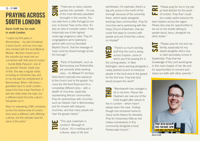## PRAYING ACROSS SOUTH LONDON 15 – 21 MAY

### Kevin Croft has his roots in south London.

"I spent my first years in Bermondsey – my dad ministered a local church, and my mum was very involved with the local Medical Mission. We then moved out to the suburbs but never lost our connection with that area of London – 'Auntie Betty Peacock', one of my parents' friends, made sure of that. She was a regular visitor, including on Christmas Day, and to me she was the embodiment of Bermondsey. When I left home, I gravitated back to south London – expect this time it was Peckham. It was two miles down the road, but a different world from the culture I had grown up in.

Now I'm overseeing LCM's ministries across this diverse area of London. Each area is different, with differing cultures, but the ultimate need for Jesus is the same."

"There are so many cultures packed into Lambeth – it's one of the most densely populated boroughs in the country. You can walk from a Little Portugal at one end, to Somali Town at the other. It's also an area of complex needs. It has historically one of the highest under-age pregnancy rates. Pray for congregations we're seeking to partner with such as Stockwell Baptist Church, that the message of hope could be shared lovingly across the borough."

"Parts of Southwark, such as Bermondsey and Rotherhithe are primarily white working class – it's Millwall FC territory. Here there's typically less exposure to the church and to the gospel. You cross the Old Kent Road and it's a completely different story – with a wealth of churches, especially representing African communities. Pray for partnerships with churches such as Haddon Hall in Bermondsey and for inroads with diaspora churches, and that many people will hear the gospel clearly."

> "This year Lewisham is London's 'Borough of Culture'. It's a melting pot of cultures, ways of life and

worldviews. For example, there's a big arts scene in the north of the borough because of the university there, which exists alongside working-class communities. Pray for churches we're partnering with like Hope Church Downham, that we could find ways to connect with people and put Christ-like culture on display!"

"There's so much exciting stuff that the Lord is doing across Croydon, some of which you'll be praying for in the coming weeks. In New Addington, we're working alongside a newly planted church to introduce people in the local area to the gospel for the first time. Pray that God would prosper this work!"

"Wandsworth has changed a lot in my time. Places like Clapham are now one of the most sought-after places to

live in London – which hasn't always been the case. Tooting though has remained home to many south-Asians for decades. Pray for missionary Gifty as she makes connections in this community alongside a local Pentecostal church."

"Please pray for me in my role **as field director for the south Lating of London. Pray that I could** be a really useful resource for team leaders across the region. Please also pray for opportunities to

be out on the streets talking to people about Jesus, alongside my other duties."

"Please pray for me and my family, especially for my eldest daughter who's due to start secondary school in September. Pray that her knowledge of the Lord would grow in this next chapter of her life and for opportunities to connect and share our faith with other parents."



**Kevin Croft**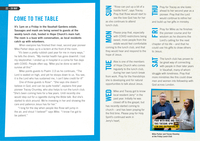22 – 28 MAY

### COME TO THE TABLE

It's 1pm on a Friday in the Vauxhall Gardens estate. Sausages and mash are being served to guests at the weekly lunch club, hosted in Hope Church's main hall. The room is a buzz with conversation, as local residents catch up with volunteers.

When everyone has finished their meal, second year pioneer Mike Parker steps up to a lectern at the front of the room.

"It's been a pretty rubbish past year for me in many ways," he tells the diners. "My mental health has gone downhill. I lost my stepbrother. I ended up in hospital in a coma for five days with COVID. People often say, 'Mike you've done so well to survive all this'"

Mike points guests to Psalm 113 as he continues, "The Lord is seated on high, and yet he stoops down to us. You see, it is the Lord who has sustained me, I can't take credit for it!"

One of those guests is Rose\*. "She says she doesn't believe in God, and can be quite hostile", explains first year pioneer Tracey Chumley, who also helps to run the lunch club. "She's been coming here for a few years. Until recently she would step out for a cigarette during the Bible talk. But she's started to stick around. We're investing in her and showing the care and patience Jesus has for her."

"I long for the day when people like Rose will jump in the air, and shout 'I believe!'" says Mike. "I know I've got to be patient."

"Rose can put up a bit of a hostile front", says Tracey. Pray that Rose would start to see the love God has for her as she continues to attend lunch club.

Please pray that, especially with COVID restrictions being eased, more people from the estate would feel comfortable coming to the lunch club, and that they would hear and respond to the hope of Jesus.

Alex is one of the members of Hope Church who comes regularly to the lunch club, during her own lunch break from work. Pray for the friendships she is developing and for natural opportunities to talk about Jesus.

Mike and Tracey got to know local resident Jerry\* in the past year. Initially he was closed off to the gospel, but has recently started coming to church – and has been praying for the first time. Please pray for Holy Spirit's continued work in Jerry's heart.

Pray for Tracey as she looks ahead to her second year as a pioneer. Pray that the Lord

would continue to refine her and build up her gifts in ministry.

Pray for Mike as he finishes œ the pioneer course and for wisdom as he discerns the Lord's calling for the next chapter of his life – and that he could use his gifts to draw others to Jesus.

The lunch club has proven to EТ be great way of connecting with people in their later years in Vauxhall, many of whom struggle with loneliness. Pray that more ministries like this could draw men and women into fellowship with God across London.



**Mike Parker and Tracey Chumley at the Friday Lunch Club**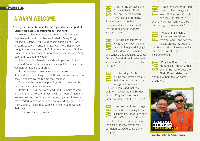### A WARM WELCOME

### "Last year, Sutton became the most popular part of part of London for people migrating from Hong Kong.

We felt called to arrange an event to embrace them. Together with local churches we hosted a *Hong Kong Welcome Festival*. Over 1,300 people came along! It was amazing to see churches in Sutton work together. A lot of Hong Kongers are moving to Sutton as a result and Sutton Hope Church has nearly 30 new members from Hong Kong – both families and individuals!

The church's International Café – in partnership with LCM and *Friends International* – has kept lots of these new contacts connected to church.

I have also been heavily involved in outreach to North Korean defectors settling in the UK, who are traumatised and heavily affected by the regime they escaped.

They find the cultural gap in English churches can be very hard – and can feel isolated.

Praise the Lord, I've witnessed the Holy Spirit at work amongst them. I've been meeting with a group of men and women, reading the Bible and praying together. A handful have started to profess faith and are attending churches in New Malden. Please pray God would continue to work in their hearts.

Thank you for your prayers!"

29 MAY - 4 JUNE "Pray for the activities and Bible studies for North-Korean defectors which I have has been running. Pray as I minister to them, that many would accept Jesus and that churches would lovingly welcome them in."...

> "Pray against barriers to Hong Kongers opening their hearts to the gospel: trying to settle down in new houses and schools and struggling to speak English. Pray God would raise Asian leaders for their second-generation ministry."

> "On Tuesdays I've been joining the Croydon team in their door-to-door ministry alongside Forestdale Church. Thank God that two children have joined the Sunday School. Pray we'd see more families engage with the church."

"I've been really encouraged by the desire amongst some diaspora churches to partner with LCM to reach Korean and other Asian communities with the gospel. Please pray these partnerships would be fruitful for the gosepl."

"Praise the Lord for the large group of Hong Kongers who joined Sutton Hope Church

as a result of last year's events. Pray that many would be reached again this summer."

"Mission in London is difficult and sometimes stressful work - and can take its tole on me, my wife and our three children. Please pray for the Lord's protection and encouragement."

"Pray that South Korean churches in London would extend the love of Jesus to North Korean defectors and make them feel welcome at church."



**David Kim (left) at the Welcome Festival**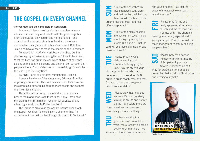

### THE GOSPEL ON EVERY CHANNEL

#### "No two days are the same here in Southwark.

I've recently been meeting with two churches who are interested in reaching local people with the gospel together. From the outside, they couldn't be more different – one a Jamaican Pentecostal church in Peckham the other a conservative presbyterian church in Camberwell. Both love Jesus and have a heart to reach the people on their doorsteps.

My specialism is African Caribbean churches, but I'm discovering my experiences and gifts don't have to be limited. What the Lord has put in me can bless all types of churches – as long as the doctrine is sound and the intention to reach the people is there, I'm confident we can prayerfully go forward by the leading of The Holy Spirit.

By night, I shift to a different mission field – online.

I have a live stream Bible study every Friday at 8pm that is growing in numbers. The Lord has also used Facebook and Instagram as a powerful platform to meet people and connect them with local church.

Those that are far away, I try to find sound churches near to them and encourage them to go. A guy I have been ministering to in Birmingham recently got baptized and is attending a local church. Praise The Lord!

The Lord is so creative in the way he reaches people with the gospel – whether it's knocking on a door or online. I'm excited about how he'll do that through his church in Southwark!"

 $5 - 11$  JUNE  $\overline{ }$   $\overline{ }$   $\overline{ }$   $\overline{ }$   $\overline{ }$   $\overline{ }$   $\overline{ }$   $\overline{ }$   $\overline{ }$   $\overline{ }$   $\overline{ }$   $\overline{ }$   $\overline{ }$   $\overline{ }$   $\overline{ }$   $\overline{ }$   $\overline{ }$   $\overline{ }$   $\overline{ }$   $\overline{ }$   $\overline{ }$   $\overline{ }$   $\overline{ }$   $\overline{ }$   $\overline{ }$   $\overline{ }$  meeting across Southwark – and that the Lord will help us think outside the box in these urban areas that may require a different approach."

> "Pray for the many people I interact with on social media – including my weekly live stream Bible study – that the Lord will use these channels to lead many to himself."

> "Please pray my wife Melissa and I would continue to bring glory to God. Pray for my five-yearold daughter Monet who had a brain tumour removed in 2020 but is in great health now, and that God would bless and keep our new-born son Mekhi!"

"Please pray that I manage my work life balance wisely. Ministry is my life and not my job, but I am aware there are times I need to slow down and possibly say no to some things."

"I've been working this ground in east Dulwich for years, more recently alongside local church members – we know a lot of local business owners

and young people. Pray that the seeds of the gospel we've sown would take root."

"Please pray for me as a newly appointed elder at my church and the responsibility it comes with – the church is growing in number, especially with younger people. Pray God would use

me in lovingly and faithfully pointing people to him."

"Please pray for a deeper hunger for his word, that the Holy Spirit will give me a greater understanding of it. Pray for protection from pride as I remember that all I do is Christ in me and nothing of myself."



**Daniel Douglas**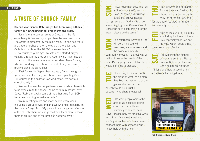# A TASTE OF CHURCH FAMILY

### Second year Pioneer Rob Bridges has been living with his family in New Addington for over twenty-five years.

"It's one of the poorest areas of Croydon – the life expectancy is five years younger than the ward next door. The estate is dissected by the main road. On one half there are three churches and on the other, there is just one Catholic church for the 10,000 or so residents."

"A couple of years ago, my wife and I started prayer walking through the area asking God how he might use us."

Around the same time another resident, Dave Bryars, who was working for a church in central Croydon, was praying along the same lines.

"Fast-forward to September last year, Dave – alongside two churches other Croydon churches – is planting Castle Hill Church in the heart of New Addington. It's now our church family."

"We want to see the people here, most of whom have little to no exposure to the gospel, come to faith in Jesus", says Dave. "Rob, along with some of the other guys from LCM have been starting to make inroads."

"We're meeting more and more people every week – including a group of west Indian guys who meet regularly on the parade," says Rob. "My plan is to start a games afternoon at the church where we can get to know them more, expose them to church and to the precious news we have."

12 – 18 JUNE 12 – 18 JUNE 12 – 18 JUNE 12 – 18 JUNE 12 – 18 JUNE 12 – 18 JUNE 12 – 18 JUNE 12 – 18 JUNE 12 – 1 a bit of an outcast", says Dave. "There's a distrust of outsiders. But we have a strong sense that God wants to do something big here. Generations of Christians have been praying for the area – please do the same!"

> This afternoon, Dave and Rob will be joining council members, social workers and the police at a weekly community meeting – a great way of getting to know the needs of the

> area. Please pray these relationships would continue to prosper.

> Please pray for inroads with the group of west Indian men that Rob has met and that the games afternoon at the church would be a fruitful opportunity to share the gospel.

"We want people across the area to get a taste of loving church community and ultimately of Jesus", says Dave. "Please pray for practical ways to do that. If we meet a resident who's good with cars – how can we connect them with someone who needs help with their car."

Pray for Dave and co-planter **Rich as they lead Castle Hill** Church – for protection in the early life of the church, and

for the church to grow in number. and maturity.

Pray for Rob and for his family  $\Box$  – including his three children. Pray especially that Rob and his wife, Karen, could thrive in their new church family.

Rob will finish the pioneer course this summer. Please pray for Rob as he discerns God's calling on his future ministry, and how to use the rich experience he has gathered.



**Rob Bridges and Dave Bryars**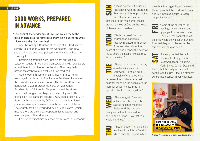# GOOD WORKS, PREPARED IN ADVANCE

"Last year at the tender age of 56, God called me to the mission field as a full-time missionary. Now I get to do what I love every day. It's amazing!

After becoming a Christian at the age of 41, God started stirring up a passion within me for evangelism. I can now see that he had been equipping me for this role without me knowing it.

My training grounds were Friday night outreach in Leicester Square, Brixton and then Lewisham, with evangelists from different churches across London. Now I regularly preach the gospel at our weekly church food bank.

God is opening some amazing doors. I'm currently working with a church in Rye Lane in Peckham. It's one of the most diverse areas in London. The African-Caribbean population is well represented here. On weekends, Peckham is in full throttle. Shoppers crowd the streets. Dance hall, Reggae and Nigerian music plays out. The footfalls on Rye Lane are around 2,000 people per hour. On Saturday this increases by 50% which makes it an ideal place to strike up conversations with people about Jesus. The church itself is surrounded by housing estates, which means there are also great opportunities to get out and meet people on their doorsteps.

I believe exciting times lie ahead for missions in Southwark!"

19 – 25 JUNE THE STREET WAS ARRESTED FOR A FORD AND THE STREET WAS ARRESTED FOR A FLOW OF THE STREET OF THE STREET OF THE STREET OF THE STREET OF THE STREET OF THE STREET OF THE STREET OF THE STREET OF THE STREET OF THE ST relationship with the church in Rye Lane and for opportunities with other churches we identified in the same area. Please pray for a move of God on the hearts of these church leaders."

> "Siade\*, a guest from our church food bank was recently released from prison. A conversation about the death of a friend opened the door for me to share the gospel. Please pray for his salvation."



"There is such a rich diversity of nationalities across Southwark – and an equal diversity of churches which

represent them. Many have real heart for reaching the people around them for Jesus. Please pray for opportunities to do this together."



"The youngest of my two autistic sons has recently started secondary school. Praise God, he has been doing well without the need for one-to-one support. Pray that this would continue."

> "Another church I'm building a relationship with is in Dulwich, where I had the opportunity to

preach at the beginning of the year. Please pray that the Lord would put a desire in people's hearts to reach people for Jesus."



"Some of the churches I'm **Come in the mainly attended** by people from across London

– and lack the connection with the area where they meet on Sundays. Pray that they would be excited by this potential mission field."

"Please pray that God will continue to strengthen the Southwark team (including Mark, Steve, Daniel, Doug and Kylie), that the unity we have will continue to flourish – that his strength will be made perfect in our weakness."



**Michael Prendergast at Lordship Lane Baptist Church**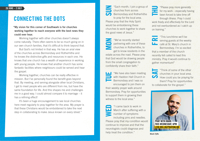### CONNECTING THE DOTS

"My vision for this corner of Southwark is for churches working together to reach everyone with the best news they could ever hear.

Working together with other churches doesn't always come naturally. There often seems to be so much going on in our own church families, that it's difficult to think beyond that.

But God's not limited in that way. He has an arial view of the churches across Bermondsey and Rotherhithe and he knows the distinctive gifts and resources in each one. He knows that one church has a wealth of experience in working with young people. He knows that another church has some fantastic facilities where neighbours could be served and hear the gospel.

Working together, churches can be really effective in mission. But I've personally found the benefit goes beyond that. By meeting, and serving alongside other local Christians, I get to meet people who are different from me, but have the same foundation for life. And this shapes me and challenges me in a good way. I could almost compare it to marriage – it has a refining effect!

It's been a huge encouragement to see local churches here meet regularly to pray together for the area. My prayer is that these Christians would be emboldened to take the next step in collaborating to make Jesus known on every street."

"Each month, I join a group of churches from across Bermondsey and Rotherhithe to pray for the local area. Please pray that the Holy Spirit would be emboldening these churches to work together to share the good news of Jesus."

"We've recently started partnering with one of these churches in Rotherhithe, to get to know residents in the estate across the road. Please pray that God would be drawing people from the small congregation to confidently share their faith."

"We have also been meeting

with Haddon Hall Church in Bermondsey and I was so encouraged to join them on their weekly prayer walk around Bermondsey. Pray for opportunities to support them in growing their

witness to the local area."

"I came back to work in March after suffering with a number of symptoms including pins and needles. Please pray that my condition would continue to improve and that the neurologists could diagnose and help treat the condition."

"Please pray more generally for my work – especially having been forced to take time off

through illness. Pray I could work freely and effectively for the Lord and not overburdened as I catch up on training."

"This lunchtime we'll be serving guests at the weekly café at St. Mary's church in Bermondsey. I'm so excited that a member of the church recently felt called to lead this ministry. Pray it would continue to gather momentum!"

"Think of some of the other churches in your local area. How could you be praying for them? Pray for opportunities to collaborate for the gospel."



**Mark Fyffe**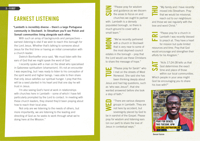## EARNEST LISTENING

"Lambeth is incredibly diverse – there's a large Portuguese community in Stockwell. In Streatham you'll see Polish and Somali communities living alongside each other.

With such an array of backgrounds and perspectives – earnest *listening* is vital if we wish to reach this borough for the Lord Jesus. Whether that's talking to someone about Jesus for the first time or having an initial conversation with a church leader.

Dietrich Bonhoeffer once said, 'We must listen with the ears of God that we might speak the word of God.'

I recently spoke with a man on the street who specialised in Gabonese spiritualism (shamanism). It's not an encounter I was expecting, but I was ready to listen to his conception of the spirit world and higher beings. I was able to then share that only Jesus satisfies our spiritual hunger. I pray that this will be a seed planted in his heart and that one day he will trust in Jesus.

I'm also seeing God's hand at work in relationships with churches here in Lambeth – some of which I have felt particularly prompted by the Lord to contact. In meeting with these church leaders, they shared they'd been praying about how to reach their local area.

Not only are we listening to the needs of others, but more importantly, we are listening to the leading and directing of God as he seeks to work through what we're doing here at the Mission."

**3 – 9 JULY The assumption of the set of the set of the set of the set of the set of the set of the set of the set of the set of the set of the set of the set of the set of the set of the set of the set of the set of the** and guidance as we discern the areas to focus on and churches we ought to partner with. Lambeth is a densely populated borough, so there is much ground to cover with a small team."

> "We've recently partnered with a church in Stockwell that is very near to some of the most deprived council estates in the borough – pray that the Lord would use these Christians to share the message of hope."

> "Please pray for Sarah\* who I met on the streets of West Norwood. She said she has been thinking deeply about Jesus and had big questions, such as 'who was Jesus?', that she

wanted answered before she took a step of faith."

"There are various diaspora groups in Lambeth. They are not here by accident, but sovereignly placed by God to be in earshot of the Gospel. Please pray for wisdom and listening ears (on our part) to share the love of Jesus in contextual ways."



"Please pray for a church in Lambeth I was recently blessed to preach at. They have a heart for mission but quite limited resources and time. Pray that God would encourage and strengthen their efforts for his Kingdom."

"Acts 17:24-28 tells us that God determines the exact time and place of those within our local communities. Which people in your area might God be encouraging you to share his love with?"



**Denzel Gaisie**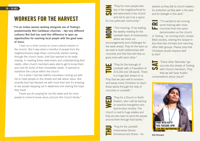## WORKERS FOR THE HARVEST

"I'm an Indian woman working alongside one of Tooting's predominantly Afro Caribbean churches – two very different cultures! But God has used this difference to open up opportunities for reaching local people with the good news of Jesus.

I had run a short course on cross-cultural mission in the church. But it was when a handful of people from the neighbourhood's large Asian community started coming through the church doors, that God seemed to be really moving. In meeting these newcomers and understanding their needs, other church members were able to get to know them and care for some of their immediate needs. It seemed to transform the culture within the church.

For a while I had two faithful volunteers coming out with me to meet people on the streets and talk about Jesus. But recently God has blessed me with more than ten! It's amazing to see people stepping out in weakness and sharing the hope they have!

Thank you for praying for me this week and for more people to come to know Jesus and join this church family."

10 – 16 JULY 2018 – 16 JULY 2018 – 16 JULY 2019 – 16 JULY 2019 – 16 JULY 2019 – 16 JULY 2019 – 16 JULY 2019 – 1<br>10 – 16 JULY 2019 – 17 JULY 2019 – 17 JULY 2019 – 17 JULY 2019 – 17 JULY 2019 – 17 JULY 2019 – 17 JULY 2019 – live in the neighbourhood to feel welcomed in the church and not to see it as a space for one particular community."

> "This morning, I'll be leading the weekly meeting for the Lambeth team of missionaries, where we share our encouragements and challenges for the week ahead. Pray for the team as we seek to build relationships with churches and that God will help us grow more with each other."



"Pray for the borough of Lambeth with a Population of 314,242 and 18 wards. There is a huge task ahead of us.

Pray that we plan well to envision and equip many Christians to reach these wards through the help of churches in Lambeth."



"Pray for a Church in North Dulwich, who I will be training on practical evangelism and door-to-door ministry. The church is next to huge estates and they are also keen to serve the people around them through food banks."

"Pray for the Lambeth missionaries Denzel, Emmanuel and Shane – for wisdom as they talk to church leaders. for protection as they walk in the area and for strength in this work."



"Every other Saturday I go out onto the streets of Tooting with church members. Pray that we will have fruitful conversations about Jesus!"



**Gifty Dhanapal**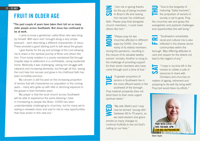## FRUIT IN OLDER AGE

"The past couple of years have taken their toll on so many older people across Southwark. But Jesus has continued to be at work.

I came to know a gentleman called Brian who was living by himself. With each visit I brought along a very simple postcard – each describing a different characteristic of Jesus. These provided a good starting point to talk about the gospel.

I give thanks for the joy and privilege of the Lord allowing me to share in the spiritual journey of Brian and others like him. From lonely isolation in a poorly maintained flat through hospital stays to settlement in a comfortable, caring residential home. Medically it was challenging, seeing him struggle with cataracts and increasing dementia, but through all this, seeing the Lord help him recover and grow in his childhood faith has been incredibly precious.

My concern is still focused on the increasing proportion of seniors that will characterise our population in the coming years – many who grew up with little or declining exposure to the gospel in their formative years.

My prayer is that the local church across Southwark will be able to experience the same blessing I have in ministering to people like Brian. COVID has been understandably challenging to churches, but for many we're seeing a renewed vision and zeal to rise to new opportunities that have arisen in this new era."

"Join me in giving thanks for the joy of being involved in Brian's life and seeing him recover his childhood faith. Please pray that alongside church members, I could meet others like him."

"Please pray for two churches affected in different ways by COVID. One lost many of its elderly members during the pandemic, resulting in the closure of its valuable weekly seniors' ministry. Another is rising to the challenge of providing support for their senior members who have come through such a time of trial."

"A greater proportion of seniors in Southwark live in the more affluent wards in the southwest of the borough. Pray material prosperity does not blind them to their more urgent spiritual needs."

"My wife (Beth) and I may now be termed "young olds" (between 60 to 70 years), so we need wisdom and grace amidst so many changes to continue fruitfully to live out God's calling on our lives."

"Due to the longevity of  $\frac{m}{n}$  maturing "baby boomers", the proportion of seniors in

society is set to grow. Pray the churches see and grasp the evangelistic and pastoral challenges and opportunities this will bring."

"Southwark's remarkable Œ racial and cultural mix is also reflected in the diverse senior communities within the borough. May differing attitudes to care and respect for the elderly not lead to the neglect of any."

> "I hope in my time left in the mission to collate a suite of resources to share with

Christians and churches on matters of ageing, retirement and preparing to die well (by living well)! Pray God would bless my efforts."

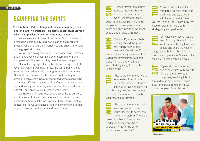### EQUIPPING THE SAINTS

"Last Autumn, Patrick Kangi and I began equipping a new church plant in Forestdale – an estate in southeast Croydon which had previously been without a local church.

We were excited to hear of the church's vision to reach Forestdale's community, and we've started going out and meeting residents, building friendships and sharing the hope of the gospel with them.

We've been doing this every Tuesday afternoon – Patrick and I have been so encouraged by the commitment and compassion of the team as they go out to meet people.

One of the highlights for me has been pairing up with M, who has lived in Forestdale for over 50 years, but who had never done any door-to-door evangelism in the community. She had been daunted by the prospect of knocking on the doors of people she'd never met and had some reservations about how effective it would be. But after several weeks going out and seeing God at work, she now loves this ministry and is a faithful and enthusiastic member of the team!

We have found many local people receptive to our visits and interested to know that there is a local church in the community. Several folks we have met have shown spiritual hunger too, as we've engaged them in conversation and had opportunities to pray for them and revisit them."

24 – 30 JULY **24 – 30 JULY Example 24 – 30 JULY The church,**  $\overline{24}$  **The church,**  $\overline{24}$  **The church,**  $\overline{24}$  **The church,** as we partner together to reach out to local people every Tuesday afternoon, building relationships and sharing the gospel. Please pray for open doors and open hearts as we meet people and engage with them."

> "Pray for I\*, an elderly lady I recently shared the gospel with during door-to-door ministry in Forestdale. I\* is warm and spiritually open, and I have visited her several times with other ladies from the church. She is interested in joining the church knitting group."

> "Please pray for me as I serve as an elder of my church, Redeemer Croydon – that I'd continue to love and serve the church family well, and encourage and equip them for mission to the least reached in Croydon."

"Please pray for me as I build relationships with more church leaders to serve them in their evangelism. There are many churches in Croydon and wisdom is needed on who to approach. Pray for the Lord's guidance and direction."

"Pray for me as I lead the wonderful Croydon team. It is a privilege and joy to work with Laurah, Patrick, David, Wil, Marije and Rob. Please pray that I could serve them well, both strategically and pastorally."

"On Friday afternoons I lead a team from my church, into our local community to get to know people and share the hope of the gospel with them. Pray for us to have the compassion of Christ and for the Holy Spirit to open blind eyes."

"I generally keep Saturday free to enjoy time with my wife Annie and our two young daughters, involving lots of fun and fresh air outdoors! Please pray for grace and wisdom as we make disciples of our children."



**Simon Knightly**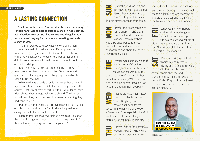# A LASTING CONNECTION

"Just cut to the chase," interrupted the man missionary Patrick Kangi was talking to outside a shop in Addiscombe, near Croydon town centre. Patrick was out alongside other missionaries, praying for the area and meeting residents along the way.

"The man wanted to know what we were doing there, but when we told him that we were offering prayer, he was open to it," says Patrick. "He knew of one of the local churches we suggested he could visit, but at that point I didn't know of someone I could connect him to, to continue on the friendship."

More recently Patrick has been getting to know members from that church, including Tom – who had already been leading a group, talking to passers-by about Jesus in the local park.

"What we'd love to do is to build on that enthusiasm and take some church members into the estates right next to the church. That way, there's opportunity to build up longer term friendships, where the gospel can be shared. The idea of actually knocking on someone's door wasn't something they had considered."

Patrick is in the process of arranging some initial training on this ministry and helping Tom to share his passion for evangelism with the rest of the church.

"Each church has their own unique dynamics – it's often the case of navigating these so that we can help them fulfil their potential for evangelism and discipleship."

Thank the Lord for Tom and the heart he has to talk about Jesus. Pray that God would continue to grow this desire and his effectiveness in evangelism.

Pray for the relationship with Tom's church – and that in coordination with the church leaders – more members would be encouraged to meet people in the local area, build relationships and share the hope they have in Jesus.

> Pray for Addiscombe, which is in the centre of Croydon borough, that more churches would partner with LCM to

share the hope of the gospel. Pray for fellow missionary Will Thorburn who is helping another local church to do this through their foodbank.



"Please pray again for Pastor Joseph and his team (see Simon Knightley's week of prayer) as they share the gospel in another ward of Croydon – Forestdale. Pray especially that God would use me to come alongside more church members in ministry."

> "Pray for one of the Forestdale residents, Maria\* who is who lost her husband and now

having to look after her sick mother and has been asking questions about meaning of life. She was receptive to prayers at the door and has invited the ladies in the church for coffee."

"When we first met Robert \*, **a** retired structural engineer, **he said God was incompatible** with science. After a couple of visits, he's warmed up to us. Pray that God will speak to him and that his heart will be opened."

"Pray that I will be spiritually, Œ physically, and mentally healthy and strong in my walk with the Lord. My passion is to see people changed and transformed by the good news of Jesus Christ. Pray too that I will seek to serve God, his people, and the church faithfully."